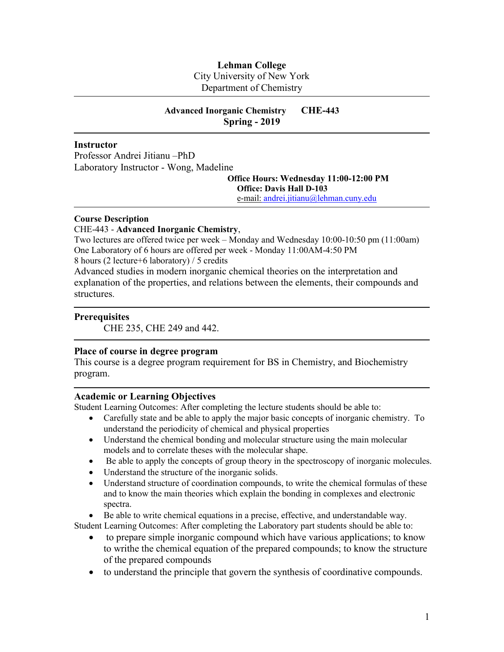# **Lehman College**

City University of New York

Department of Chemistry

# **Advanced Inorganic Chemistry CHE-443 Spring - 2019**

### **Instructor**

Professor Andrei Jitianu –PhD Laboratory Instructor - Wong, Madeline

> **Office Hours: Wednesday 11:00-12:00 PM Office: Davis Hall D-103**

e-mail: [andrei.jitianu@lehman.cuny.edu](mailto:e-mail@andrei.jitianu@lehman.cuny.edu)

#### **Course Description**

### CHE-443 - **Advanced Inorganic Chemistry**,

Two lectures are offered twice per week – Monday and Wednesday 10:00-10:50 pm (11:00am) One Laboratory of 6 hours are offered per week - Monday 11:00AM-4:50 PM 8 hours (2 lecture+6 laboratory) / 5 credits

Advanced studies in modern inorganic chemical theories on the interpretation and explanation of the properties, and relations between the elements, their compounds and structures.

### **Prerequisites**

CHE 235, CHE 249 and 442.

# **Place of course in degree program**

This course is a degree program requirement for BS in Chemistry, and Biochemistry program.

### **Academic or Learning Objectives**

Student Learning Outcomes: After completing the lecture students should be able to:

- Carefully state and be able to apply the major basic concepts of inorganic chemistry. To understand the periodicity of chemical and physical properties
- Understand the chemical bonding and molecular structure using the main molecular models and to correlate theses with the molecular shape.
- Be able to apply the concepts of group theory in the spectroscopy of inorganic molecules.
- Understand the structure of the inorganic solids.
- Understand structure of coordination compounds, to write the chemical formulas of these and to know the main theories which explain the bonding in complexes and electronic spectra.

Be able to write chemical equations in a precise, effective, and understandable way.

Student Learning Outcomes: After completing the Laboratory part students should be able to:

- to prepare simple inorganic compound which have various applications; to know to writhe the chemical equation of the prepared compounds; to know the structure of the prepared compounds
- to understand the principle that govern the synthesis of coordinative compounds.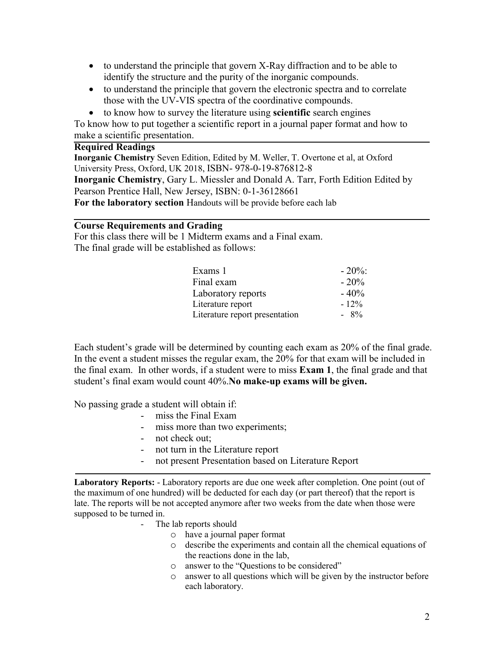- to understand the principle that govern X-Ray diffraction and to be able to identify the structure and the purity of the inorganic compounds.
- to understand the principle that govern the electronic spectra and to correlate those with the UV-VIS spectra of the coordinative compounds.
- to know how to survey the literature using **scientific** search engines

To know how to put together a scientific report in a journal paper format and how to make a scientific presentation.

## **Required Readings**

**Inorganic Chemistry** Seven Edition, Edited by M. Weller, T. Overtone et al, at Oxford University Press, Oxford, UK 2018, ISBN- 978-0-19-876812-8 **Inorganic Chemistry**, Gary L. Miessler and Donald A. Tarr, Forth Edition Edited by Pearson Prentice Hall, New Jersey, ISBN: 0-1-36128661 **For the laboratory section** Handouts will be provide before each lab

# **Course Requirements and Grading**

For this class there will be 1 Midterm exams and a Final exam. The final grade will be established as follows:

| Exams 1                        | $-20\%$ |
|--------------------------------|---------|
| Final exam                     | $-20%$  |
| Laboratory reports             | $-40%$  |
| Literature report              | $-12\%$ |
| Literature report presentation | $-8\%$  |

Each student's grade will be determined by counting each exam as 20% of the final grade. In the event a student misses the regular exam, the 20% for that exam will be included in the final exam. In other words, if a student were to miss **Exam 1**, the final grade and that student's final exam would count 40%.**No make-up exams will be given.**

No passing grade a student will obtain if:

- miss the Final Exam
- miss more than two experiments;
- not check out;
- not turn in the Literature report
- not present Presentation based on Literature Report

**Laboratory Reports:** - Laboratory reports are due one week after completion. One point (out of the maximum of one hundred) will be deducted for each day (or part thereof) that the report is late. The reports will be not accepted anymore after two weeks from the date when those were supposed to be turned in.

- The lab reports should
	- o have a journal paper format
	- o describe the experiments and contain all the chemical equations of the reactions done in the lab,
	- o answer to the "Questions to be considered"
	- o answer to all questions which will be given by the instructor before each laboratory.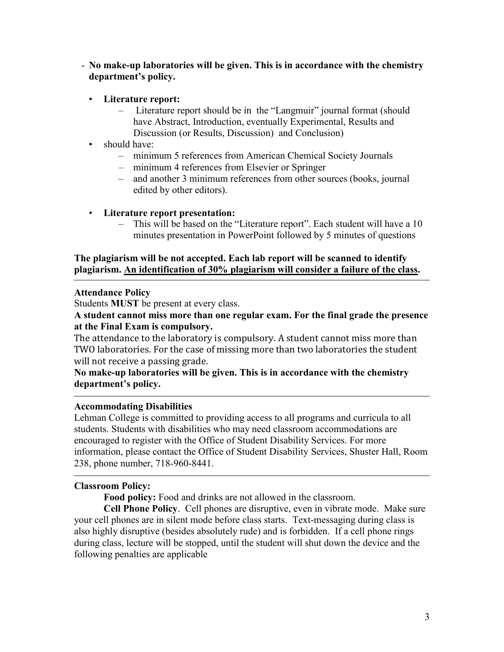- **No make-up laboratories will be given. This is in accordance with the chemistry department's policy.**
	- **Literature report:**
		- Literature report should be in the "Langmuir" journal format (should have Abstract, Introduction, eventually Experimental, Results and Discussion (or Results, Discussion) and Conclusion)
	- should have:
		- minimum 5 references from American Chemical Society Journals
		- minimum 4 references from Elsevier or Springer
		- and another 3 minimum references from other sources (books, journal edited by other editors).
	- **Literature report presentation:**
		- This will be based on the "Literature report". Each student will have a 10 minutes presentation in PowerPoint followed by 5 minutes of questions

# **The plagiarism will be not accepted. Each lab report will be scanned to identify plagiarism. An identification of 30% plagiarism will consider a failure of the class.**

# **Attendance Policy**

Students **MUST** be present at every class.

**A student cannot miss more than one regular exam. For the final grade the presence at the Final Exam is compulsory.**

The attendance to the laboratory is compulsory. A student cannot miss more than TWO laboratories. For the case of missing more than two laboratories the student will not receive a passing grade.

**No make-up laboratories will be given. This is in accordance with the chemistry department's policy.**

# **Accommodating Disabilities**

Lehman College is committed to providing access to all programs and curricula to all students. Students with disabilities who may need classroom accommodations are encouraged to register with the Office of Student Disability Services. For more information, please contact the Office of Student Disability Services, Shuster Hall, Room 238, phone number, 718-960-8441.

# **Classroom Policy:**

**Food policy:** Food and drinks are not allowed in the classroom.

**Cell Phone Policy**. Cell phones are disruptive, even in vibrate mode. Make sure your cell phones are in silent mode before class starts. Text-messaging during class is also highly disruptive (besides absolutely rude) and is forbidden. If a cell phone rings during class, lecture will be stopped, until the student will shut down the device and the following penalties are applicable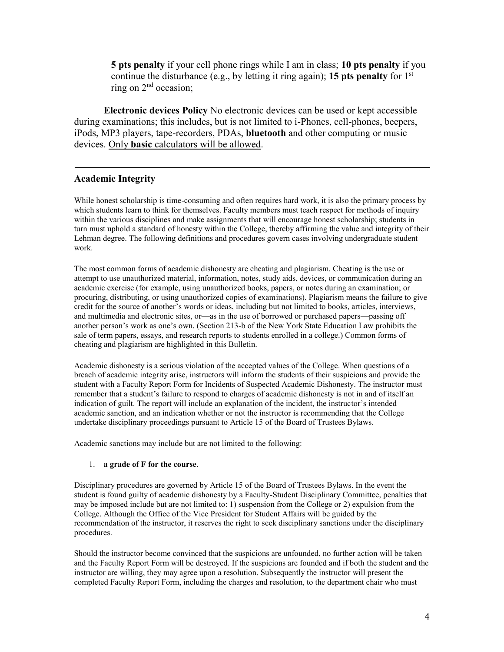**5 pts penalty** if your cell phone rings while I am in class; **10 pts penalty** if you continue the disturbance (e.g., by letting it ring again); **15 pts penalty** for 1st ring on 2<sup>nd</sup> occasion;

**Electronic devices Policy** No electronic devices can be used or kept accessible during examinations; this includes, but is not limited to i-Phones, cell-phones, beepers, iPods, MP3 players, tape-recorders, PDAs, **bluetooth** and other computing or music devices. Only **basic** calculators will be allowed.

# **Academic Integrity**

While honest scholarship is time-consuming and often requires hard work, it is also the primary process by which students learn to think for themselves. Faculty members must teach respect for methods of inquiry within the various disciplines and make assignments that will encourage honest scholarship; students in turn must uphold a standard of honesty within the College, thereby affirming the value and integrity of their Lehman degree. The following definitions and procedures govern cases involving undergraduate student work.

The most common forms of academic dishonesty are cheating and plagiarism. Cheating is the use or attempt to use unauthorized material, information, notes, study aids, devices, or communication during an academic exercise (for example, using unauthorized books, papers, or notes during an examination; or procuring, distributing, or using unauthorized copies of examinations). Plagiarism means the failure to give credit for the source of another's words or ideas, including but not limited to books, articles, interviews, and multimedia and electronic sites, or—as in the use of borrowed or purchased papers—passing off another person's work as one's own. (Section 213-b of the New York State Education Law prohibits the sale of term papers, essays, and research reports to students enrolled in a college.) Common forms of cheating and plagiarism are highlighted in this Bulletin.

Academic dishonesty is a serious violation of the accepted values of the College. When questions of a breach of academic integrity arise, instructors will inform the students of their suspicions and provide the student with a Faculty Report Form for Incidents of Suspected Academic Dishonesty. The instructor must remember that a student's failure to respond to charges of academic dishonesty is not in and of itself an indication of guilt. The report will include an explanation of the incident, the instructor's intended academic sanction, and an indication whether or not the instructor is recommending that the College undertake disciplinary proceedings pursuant to Article 15 of the Board of Trustees Bylaws.

Academic sanctions may include but are not limited to the following:

#### 1. **a grade of F for the course**.

Disciplinary procedures are governed by Article 15 of the Board of Trustees Bylaws. In the event the student is found guilty of academic dishonesty by a Faculty-Student Disciplinary Committee, penalties that may be imposed include but are not limited to: 1) suspension from the College or 2) expulsion from the College. Although the Office of the Vice President for Student Affairs will be guided by the recommendation of the instructor, it reserves the right to seek disciplinary sanctions under the disciplinary procedures.

Should the instructor become convinced that the suspicions are unfounded, no further action will be taken and the Faculty Report Form will be destroyed. If the suspicions are founded and if both the student and the instructor are willing, they may agree upon a resolution. Subsequently the instructor will present the completed Faculty Report Form, including the charges and resolution, to the department chair who must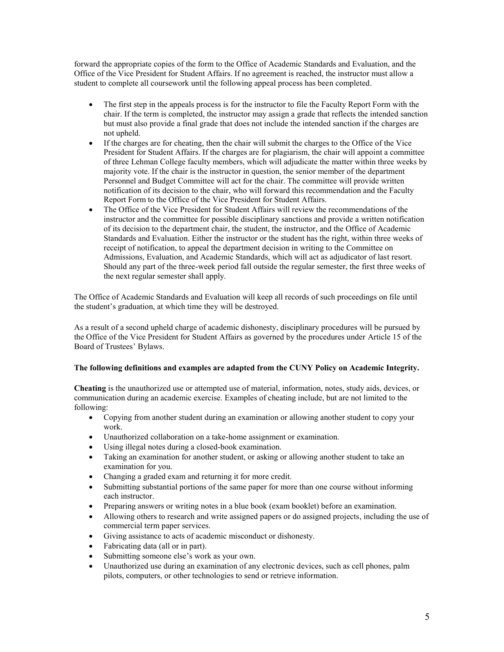forward the appropriate copies of the form to the Office of Academic Standards and Evaluation, and the Office of the Vice President for Student Affairs. If no agreement is reached, the instructor must allow a student to complete all coursework until the following appeal process has been completed.

- The first step in the appeals process is for the instructor to file the Faculty Report Form with the chair. If the term is completed, the instructor may assign a grade that reflects the intended sanction but must also provide a final grade that does not include the intended sanction if the charges are not upheld.
- If the charges are for cheating, then the chair will submit the charges to the Office of the Vice President for Student Affairs. If the charges are for plagiarism, the chair will appoint a committee of three Lehman College faculty members, which will adjudicate the matter within three weeks by majority vote. If the chair is the instructor in question, the senior member of the department Personnel and Budget Committee will act for the chair. The committee will provide written notification of its decision to the chair, who will forward this recommendation and the Faculty Report Form to the Office of the Vice President for Student Affairs.
- The Office of the Vice President for Student Affairs will review the recommendations of the instructor and the committee for possible disciplinary sanctions and provide a written notification of its decision to the department chair, the student, the instructor, and the Office of Academic Standards and Evaluation. Either the instructor or the student has the right, within three weeks of receipt of notification, to appeal the department decision in writing to the Committee on Admissions, Evaluation, and Academic Standards, which will act as adjudicator of last resort. Should any part of the three-week period fall outside the regular semester, the first three weeks of the next regular semester shall apply.

The Office of Academic Standards and Evaluation will keep all records of such proceedings on file until the student's graduation, at which time they will be destroyed.

As a result of a second upheld charge of academic dishonesty, disciplinary procedures will be pursued by the Office of the Vice President for Student Affairs as governed by the procedures under Article 15 of the Board of Trustees' Bylaws.

#### **The following definitions and examples are adapted from the CUNY Policy on Academic Integrity.**

**Cheating** is the unauthorized use or attempted use of material, information, notes, study aids, devices, or communication during an academic exercise. Examples of cheating include, but are not limited to the following:

- Copying from another student during an examination or allowing another student to copy your work.
- Unauthorized collaboration on a take-home assignment or examination.
- Using illegal notes during a closed-book examination.
- Taking an examination for another student, or asking or allowing another student to take an examination for you.
- Changing a graded exam and returning it for more credit.
- Submitting substantial portions of the same paper for more than one course without informing each instructor.
- Preparing answers or writing notes in a blue book (exam booklet) before an examination.
- Allowing others to research and write assigned papers or do assigned projects, including the use of commercial term paper services.
- Giving assistance to acts of academic misconduct or dishonesty.
- Fabricating data (all or in part).
- Submitting someone else's work as your own.
- Unauthorized use during an examination of any electronic devices, such as cell phones, palm pilots, computers, or other technologies to send or retrieve information.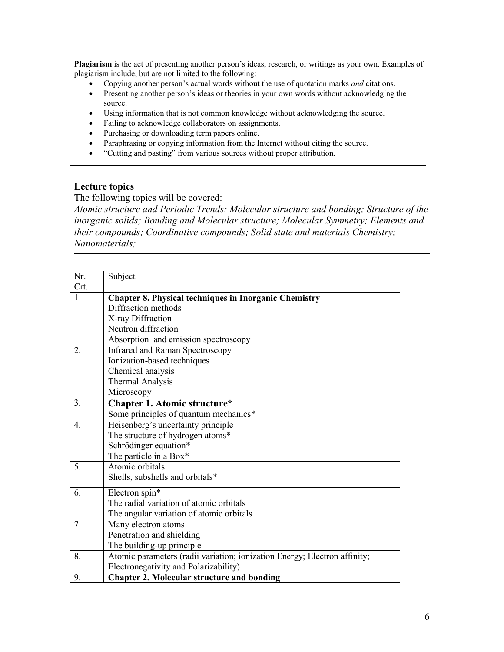**Plagiarism** is the act of presenting another person's ideas, research, or writings as your own. Examples of plagiarism include, but are not limited to the following:

- Copying another person's actual words without the use of quotation marks *and* citations.
- Presenting another person's ideas or theories in your own words without acknowledging the source.
- Using information that is not common knowledge without acknowledging the source.
- Failing to acknowledge collaborators on assignments.
- Purchasing or downloading term papers online.
- Paraphrasing or copying information from the Internet without citing the source.
- "Cutting and pasting" from various sources without proper attribution.

# **Lecture topics**

The following topics will be covered:

*Atomic structure and Periodic Trends; Molecular structure and bonding; Structure of the inorganic solids; Bonding and Molecular structure; Molecular Symmetry; Elements and their compounds; Coordinative compounds; Solid state and materials Chemistry; Nanomaterials;*

| Nr.              | Subject                                                                   |
|------------------|---------------------------------------------------------------------------|
| Crt.             |                                                                           |
| 1                | <b>Chapter 8. Physical techniques in Inorganic Chemistry</b>              |
|                  | Diffraction methods                                                       |
|                  | X-ray Diffraction                                                         |
|                  | Neutron diffraction                                                       |
|                  | Absorption and emission spectroscopy                                      |
| 2.               | <b>Infrared and Raman Spectroscopy</b>                                    |
|                  | Ionization-based techniques                                               |
|                  | Chemical analysis                                                         |
|                  | <b>Thermal Analysis</b>                                                   |
|                  | Microscopy                                                                |
| 3.               | Chapter 1. Atomic structure*                                              |
|                  | Some principles of quantum mechanics*                                     |
| $\overline{4}$ . | Heisenberg's uncertainty principle                                        |
|                  | The structure of hydrogen atoms*                                          |
|                  | Schrödinger equation*                                                     |
|                  | The particle in a Box*                                                    |
| 5.               | Atomic orbitals                                                           |
|                  | Shells, subshells and orbitals*                                           |
| 6.               | Electron spin*                                                            |
|                  | The radial variation of atomic orbitals                                   |
|                  | The angular variation of atomic orbitals                                  |
| $\overline{7}$   | Many electron atoms                                                       |
|                  | Penetration and shielding                                                 |
|                  | The building-up principle                                                 |
| 8.               | Atomic parameters (radii variation; ionization Energy; Electron affinity; |
|                  | Electronegativity and Polarizability)                                     |
| 9.               | <b>Chapter 2. Molecular structure and bonding</b>                         |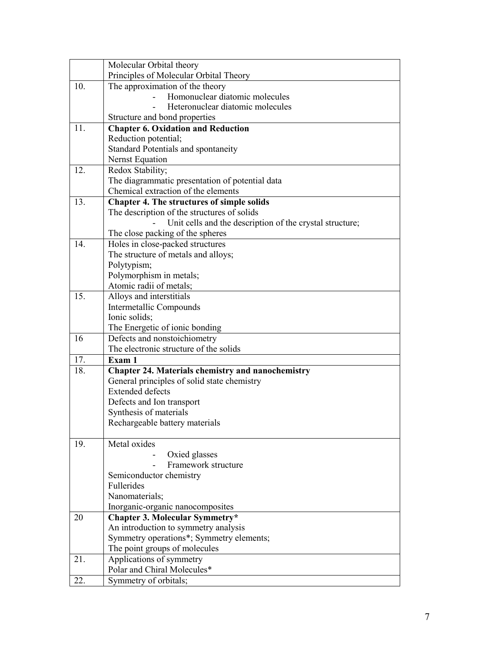|     | Molecular Orbital theory                                               |
|-----|------------------------------------------------------------------------|
|     | Principles of Molecular Orbital Theory                                 |
| 10. | The approximation of the theory                                        |
|     | Homonuclear diatomic molecules                                         |
|     | Heteronuclear diatomic molecules                                       |
|     | Structure and bond properties                                          |
| 11. | <b>Chapter 6. Oxidation and Reduction</b>                              |
|     | Reduction potential;                                                   |
|     | Standard Potentials and spontaneity                                    |
|     | <b>Nernst Equation</b>                                                 |
| 12. | Redox Stability;                                                       |
|     | The diagrammatic presentation of potential data                        |
|     | Chemical extraction of the elements                                    |
| 13. | <b>Chapter 4. The structures of simple solids</b>                      |
|     | The description of the structures of solids                            |
|     | Unit cells and the description of the crystal structure;               |
|     | The close packing of the spheres                                       |
| 14. | Holes in close-packed structures                                       |
|     | The structure of metals and alloys;                                    |
|     | Polytypism;                                                            |
|     | Polymorphism in metals;                                                |
|     | Atomic radii of metals;                                                |
| 15. | Alloys and interstitials                                               |
|     | Intermetallic Compounds                                                |
|     | Ionic solids;                                                          |
|     | The Energetic of ionic bonding                                         |
| 16  | Defects and nonstoichiometry                                           |
|     | The electronic structure of the solids                                 |
| 17. | Exam 1                                                                 |
| 18. | <b>Chapter 24. Materials chemistry and nanochemistry</b>               |
|     | General principles of solid state chemistry<br><b>Extended defects</b> |
|     |                                                                        |
|     | Defects and Ion transport<br>Synthesis of materials                    |
|     | Rechargeable battery materials                                         |
|     |                                                                        |
| 19. | Metal oxides                                                           |
|     | Oxied glasses                                                          |
|     | Framework structure                                                    |
|     | Semiconductor chemistry                                                |
|     | Fullerides                                                             |
|     | Nanomaterials;                                                         |
|     | Inorganic-organic nanocomposites                                       |
| 20  | <b>Chapter 3. Molecular Symmetry*</b>                                  |
|     | An introduction to symmetry analysis                                   |
|     | Symmetry operations*; Symmetry elements;                               |
|     | The point groups of molecules                                          |
| 21. | Applications of symmetry                                               |
|     | Polar and Chiral Molecules*                                            |
| 22. | Symmetry of orbitals;                                                  |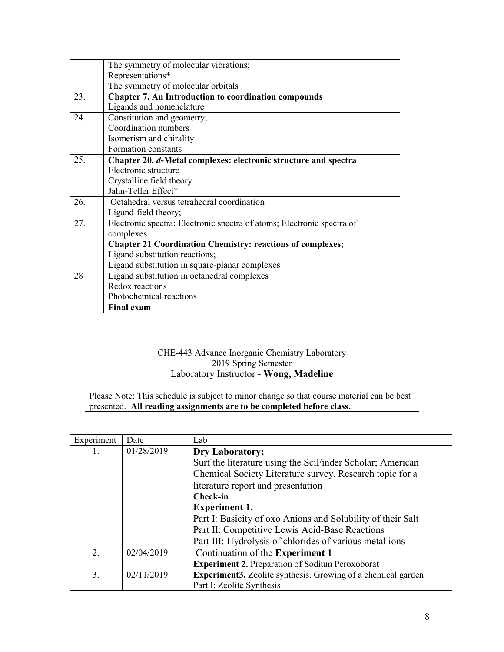|     | The symmetry of molecular vibrations;                                  |  |  |
|-----|------------------------------------------------------------------------|--|--|
|     | Representations*                                                       |  |  |
|     | The symmetry of molecular orbitals                                     |  |  |
| 23. | <b>Chapter 7. An Introduction to coordination compounds</b>            |  |  |
|     | Ligands and nomenclature                                               |  |  |
| 24. | Constitution and geometry;                                             |  |  |
|     | Coordination numbers                                                   |  |  |
|     | Isomerism and chirality                                                |  |  |
|     | Formation constants                                                    |  |  |
| 25. | Chapter 20. d-Metal complexes: electronic structure and spectra        |  |  |
|     | Electronic structure                                                   |  |  |
|     | Crystalline field theory                                               |  |  |
|     | Jahn-Teller Effect*                                                    |  |  |
| 26. | Octahedral versus tetrahedral coordination                             |  |  |
|     | Ligand-field theory;                                                   |  |  |
| 27. | Electronic spectra; Electronic spectra of atoms; Electronic spectra of |  |  |
|     | complexes                                                              |  |  |
|     | <b>Chapter 21 Coordination Chemistry: reactions of complexes;</b>      |  |  |
|     | Ligand substitution reactions;                                         |  |  |
|     | Ligand substitution in square-planar complexes                         |  |  |
| 28  | Ligand substitution in octahedral complexes                            |  |  |
|     | Redox reactions                                                        |  |  |
|     | Photochemical reactions                                                |  |  |
|     | <b>Final exam</b>                                                      |  |  |

# CHE-443 Advance Inorganic Chemistry Laboratory 2019 Spring Semester Laboratory Instructor - **Wong, Madeline**

Please Note: This schedule is subject to minor change so that course material can be best presented. **All reading assignments are to be completed before class.**

| Experiment     | Date       | Lab                                                                 |
|----------------|------------|---------------------------------------------------------------------|
|                | 01/28/2019 | Dry Laboratory;                                                     |
|                |            | Surf the literature using the SciFinder Scholar; American           |
|                |            | Chemical Society Literature survey. Research topic for a            |
|                |            | literature report and presentation                                  |
|                |            | <b>Check-in</b>                                                     |
|                |            | <b>Experiment 1.</b>                                                |
|                |            | Part I: Basicity of oxo Anions and Solubility of their Salt         |
|                |            | Part II: Competitive Lewis Acid-Base Reactions                      |
|                |            | Part III: Hydrolysis of chlorides of various metal ions             |
| $\overline{2}$ | 02/04/2019 | Continuation of the Experiment 1                                    |
|                |            | <b>Experiment 2. Preparation of Sodium Peroxoborat</b>              |
| 3.             | 02/11/2019 | <b>Experiment3.</b> Zeolite synthesis. Growing of a chemical garden |
|                |            | Part I: Zeolite Synthesis                                           |